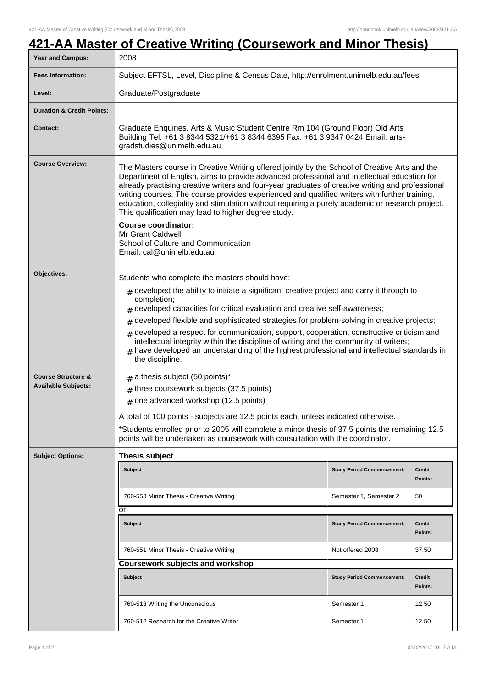## **421-AA Master of Creative Writing (Coursework and Minor Thesis)**

| <b>Year and Campus:</b>                                     | 2008                                                                                                                                                                                                                                                                                                                                                                                                                                                                                                                                                                                                                                                                                |                                   |                   |  |  |
|-------------------------------------------------------------|-------------------------------------------------------------------------------------------------------------------------------------------------------------------------------------------------------------------------------------------------------------------------------------------------------------------------------------------------------------------------------------------------------------------------------------------------------------------------------------------------------------------------------------------------------------------------------------------------------------------------------------------------------------------------------------|-----------------------------------|-------------------|--|--|
| <b>Fees Information:</b>                                    | Subject EFTSL, Level, Discipline & Census Date, http://enrolment.unimelb.edu.au/fees                                                                                                                                                                                                                                                                                                                                                                                                                                                                                                                                                                                                |                                   |                   |  |  |
| Level:                                                      | Graduate/Postgraduate                                                                                                                                                                                                                                                                                                                                                                                                                                                                                                                                                                                                                                                               |                                   |                   |  |  |
| <b>Duration &amp; Credit Points:</b>                        |                                                                                                                                                                                                                                                                                                                                                                                                                                                                                                                                                                                                                                                                                     |                                   |                   |  |  |
| <b>Contact:</b>                                             | Graduate Enquiries, Arts & Music Student Centre Rm 104 (Ground Floor) Old Arts<br>Building Tel: +61 3 8344 5321/+61 3 8344 6395 Fax: +61 3 9347 0424 Email: arts-<br>gradstudies@unimelb.edu.au                                                                                                                                                                                                                                                                                                                                                                                                                                                                                     |                                   |                   |  |  |
| <b>Course Overview:</b>                                     | The Masters course in Creative Writing offered jointly by the School of Creative Arts and the<br>Department of English, aims to provide advanced professional and intellectual education for<br>already practising creative writers and four-year graduates of creative writing and professional<br>writing courses. The course provides experienced and qualified writers with further training,<br>education, collegiality and stimulation without requiring a purely academic or research project.<br>This qualification may lead to higher degree study.<br><b>Course coordinator:</b><br>Mr Grant Caldwell<br>School of Culture and Communication<br>Email: cal@unimelb.edu.au |                                   |                   |  |  |
|                                                             |                                                                                                                                                                                                                                                                                                                                                                                                                                                                                                                                                                                                                                                                                     |                                   |                   |  |  |
| Objectives:                                                 | Students who complete the masters should have:<br>$_{\#}$ developed the ability to initiate a significant creative project and carry it through to<br>completion;<br>developed capacities for critical evaluation and creative self-awareness;<br>developed flexible and sophisticated strategies for problem-solving in creative projects;<br>#<br>developed a respect for communication, support, cooperation, constructive criticism and<br>#<br>intellectual integrity within the discipline of writing and the community of writers;<br>have developed an understanding of the highest professional and intellectual standards in<br>the discipline.                           |                                   |                   |  |  |
| <b>Course Structure &amp;</b><br><b>Available Subjects:</b> | $#$ a thesis subject (50 points)*<br>$#$ three coursework subjects (37.5 points)<br>$#$ one advanced workshop (12.5 points)<br>A total of 100 points - subjects are 12.5 points each, unless indicated otherwise.<br>*Students enrolled prior to 2005 will complete a minor thesis of 37.5 points the remaining 12.5<br>points will be undertaken as coursework with consultation with the coordinator.                                                                                                                                                                                                                                                                             |                                   |                   |  |  |
| <b>Subject Options:</b>                                     | <b>Thesis subject</b>                                                                                                                                                                                                                                                                                                                                                                                                                                                                                                                                                                                                                                                               |                                   |                   |  |  |
|                                                             | <b>Subject</b>                                                                                                                                                                                                                                                                                                                                                                                                                                                                                                                                                                                                                                                                      | <b>Study Period Commencement:</b> | Credit<br>Points: |  |  |
|                                                             | 760-553 Minor Thesis - Creative Writing                                                                                                                                                                                                                                                                                                                                                                                                                                                                                                                                                                                                                                             | Semester 1, Semester 2            | 50                |  |  |
|                                                             | or                                                                                                                                                                                                                                                                                                                                                                                                                                                                                                                                                                                                                                                                                  |                                   |                   |  |  |
|                                                             | <b>Subject</b>                                                                                                                                                                                                                                                                                                                                                                                                                                                                                                                                                                                                                                                                      | <b>Study Period Commencement:</b> | Credit<br>Points: |  |  |
|                                                             | 760-551 Minor Thesis - Creative Writing                                                                                                                                                                                                                                                                                                                                                                                                                                                                                                                                                                                                                                             | Not offered 2008                  | 37.50             |  |  |
|                                                             | <b>Coursework subjects and workshop</b>                                                                                                                                                                                                                                                                                                                                                                                                                                                                                                                                                                                                                                             |                                   |                   |  |  |
|                                                             | <b>Subject</b>                                                                                                                                                                                                                                                                                                                                                                                                                                                                                                                                                                                                                                                                      | <b>Study Period Commencement:</b> | Credit<br>Points: |  |  |
|                                                             | 760-513 Writing the Unconscious                                                                                                                                                                                                                                                                                                                                                                                                                                                                                                                                                                                                                                                     | Semester 1                        | 12.50             |  |  |
|                                                             | 760-512 Research for the Creative Writer                                                                                                                                                                                                                                                                                                                                                                                                                                                                                                                                                                                                                                            | Semester 1                        | 12.50             |  |  |